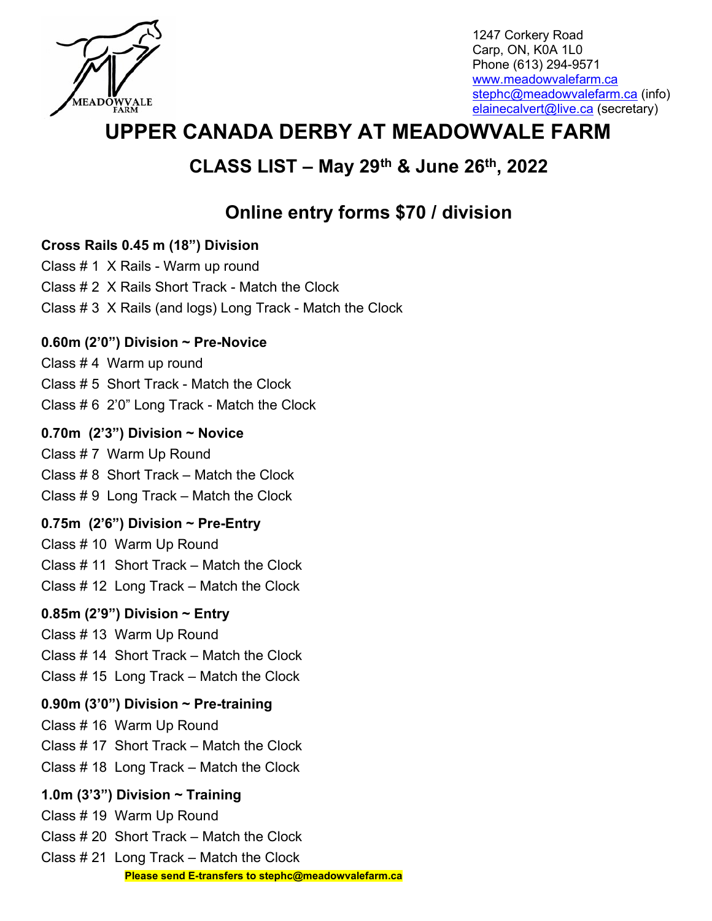

1247 Corkery Road Carp, ON, K0A 1L0 Phone (613) 294-9571 www.meadowvalefarm.ca stephc@meadowvalefarm.ca (info) elainecalvert@live.ca (secretary)

# UPPER CANADA DERBY AT MEADOWVALE FARM

## CLASS LIST – May 29th & June 26th, 2022

# Online entry forms \$70 / division

### Cross Rails 0.45 m (18") Division

Class # 1 X Rails - Warm up round

- Class # 2 X Rails Short Track Match the Clock
- Class # 3 X Rails (and logs) Long Track Match the Clock

## 0.60m (2'0") Division  $\sim$  Pre-Novice

Class # 4 Warm up round

- Class # 5 Short Track Match the Clock
- Class # 6 2'0" Long Track Match the Clock

## 0.70m  $(2'3'')$  Division ~ Novice

Class # 7 Warm Up Round Class # 8 Short Track – Match the Clock Class # 9 Long Track – Match the Clock

## 0.75m  $(2'6'')$  Division ~ Pre-Entry

Class # 10 Warm Up Round Class # 11 Short Track – Match the Clock Class # 12 Long Track – Match the Clock

## 0.85m (2'9") Division  $\sim$  Entry

- Class # 13 Warm Up Round Class # 14 Short Track – Match the Clock
- Class # 15 Long Track Match the Clock

## 0.90m (3'0") Division  $\sim$  Pre-training

Class # 16 Warm Up Round

- Class # 17 Short Track Match the Clock
- Class # 18 Long Track Match the Clock

## 1.0m (3'3") Division  $\sim$  Training

Class # 19 Warm Up Round

- Class # 20 Short Track Match the Clock
- Class # 21 Long Track Match the Clock Please send E-transfers to stephc@meadowvalefarm.ca